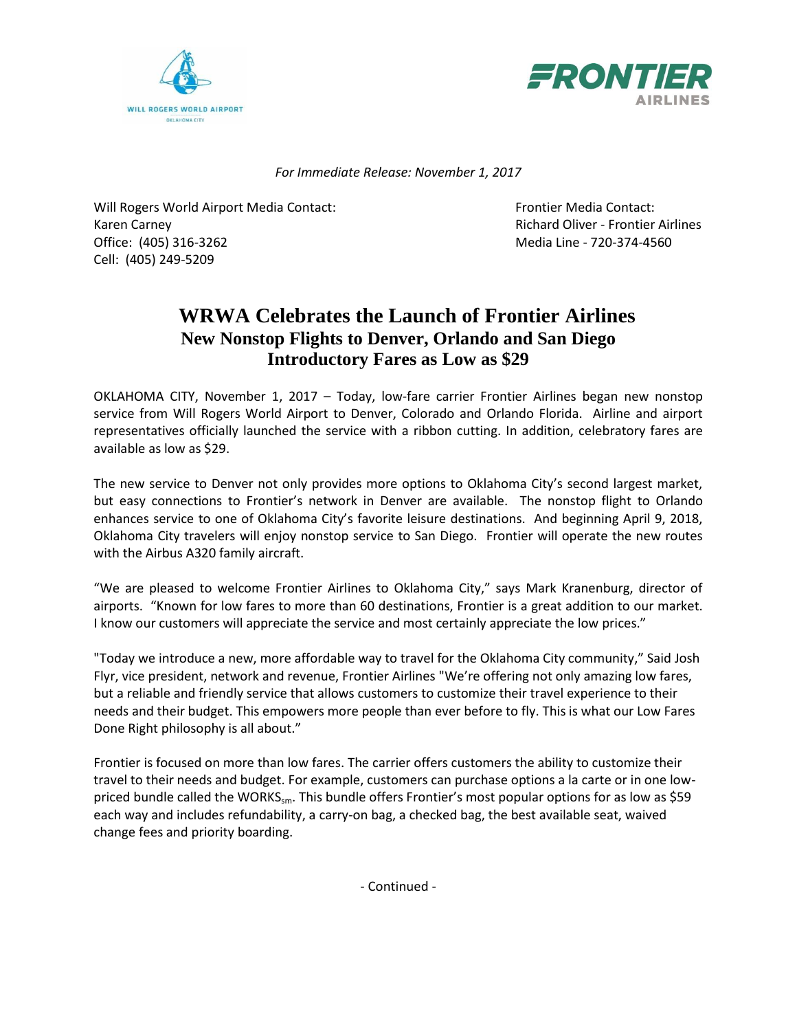



*For Immediate Release: November 1, 2017*

Will Rogers World Airport Media Contact: Frontier Media Contact: Karen Carney **Richard Oliver - Frontier Airlines** Richard Oliver - Frontier Airlines Office: (405) 316-3262 Media Line - 720-374-4560 Cell: (405) 249-5209

## **WRWA Celebrates the Launch of Frontier Airlines New Nonstop Flights to Denver, Orlando and San Diego Introductory Fares as Low as \$29**

OKLAHOMA CITY, November 1, 2017 – Today, low-fare carrier Frontier Airlines began new nonstop service from Will Rogers World Airport to Denver, Colorado and Orlando Florida. Airline and airport representatives officially launched the service with a ribbon cutting. In addition, celebratory fares are available as low as \$29.

The new service to Denver not only provides more options to Oklahoma City's second largest market, but easy connections to Frontier's network in Denver are available. The nonstop flight to Orlando enhances service to one of Oklahoma City's favorite leisure destinations. And beginning April 9, 2018, Oklahoma City travelers will enjoy nonstop service to San Diego. Frontier will operate the new routes with the Airbus A320 family aircraft.

"We are pleased to welcome Frontier Airlines to Oklahoma City," says Mark Kranenburg, director of airports. "Known for low fares to more than 60 destinations, Frontier is a great addition to our market. I know our customers will appreciate the service and most certainly appreciate the low prices."

"Today we introduce a new, more affordable way to travel for the Oklahoma City community," Said Josh Flyr, vice president, network and revenue, Frontier Airlines "We're offering not only amazing low fares, but a reliable and friendly service that allows customers to customize their travel experience to their needs and their budget. This empowers more people than ever before to fly. This is what our Low Fares Done Right philosophy is all about."

Frontier is focused on more than low fares. The carrier offers customers the ability to customize their travel to their needs and budget. For example, customers can purchase options a la carte or in one lowpriced bundle called the WORKS<sub>sm</sub>. This bundle offers Frontier's most popular options for as low as \$59 each way and includes refundability, a carry-on bag, a checked bag, the best available seat, waived change fees and priority boarding.

- Continued -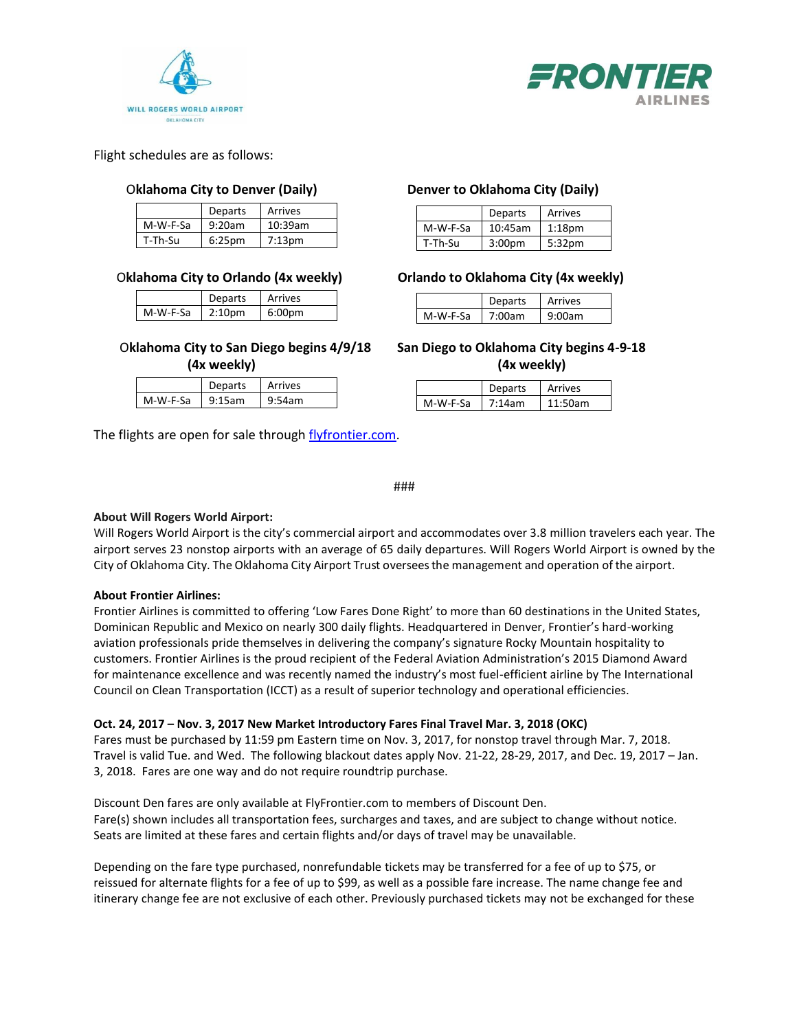



Flight schedules are as follows:

### O**klahoma City to Denver (Daily) Denver to Oklahoma City (Daily)**

|          | <b>Departs</b>    | Arrives   |  |
|----------|-------------------|-----------|--|
| M-W-F-Sa | 9:20am<br>10:39am |           |  |
| T-Th-Su  | $6:25$ pm         | $7:13$ pm |  |

|          | <b>Departs</b>     | Arrives            |  |
|----------|--------------------|--------------------|--|
| M-W-F-Sa | 2:10 <sub>pm</sub> | 6:00 <sub>pm</sub> |  |

|          | eparts         | Arrives |  |
|----------|----------------|---------|--|
| M-W-F-Sa | 5am<br>- 911 - | am      |  |

The flights are open for sale through [flyfrontier.com.](https://www.flyfrontier.com/)

|          | <b>Departs</b>     | Arrives            |  |
|----------|--------------------|--------------------|--|
| M-W-F-Sa | 10:45am            | 1:18 <sub>pm</sub> |  |
| T-Th-Su  | 3:00 <sub>pm</sub> | 5:32 <sub>pm</sub> |  |

### O**klahoma City to Orlando (4x weekly) Orlando to Oklahoma City (4x weekly)**

|                    | <b>Departs</b> | Arrives |  |
|--------------------|----------------|---------|--|
| M-W-F-Sa<br>7.00am |                | )Nam    |  |

 O**klahoma City to San Diego begins 4/9/18 San Diego to Oklahoma City begins 4-9-18 (4x weekly) (4x weekly)**

|           | <b>Departs</b> | Arrives |  |
|-----------|----------------|---------|--|
| $7.14$ am |                | am      |  |
| M-W-F-Sa  |                | 1 ⋅ ⊏   |  |

###

### **About Will Rogers World Airport:**

Will Rogers World Airport is the city's commercial airport and accommodates over 3.8 million travelers each year. The airport serves 23 nonstop airports with an average of 65 daily departures. Will Rogers World Airport is owned by the City of Oklahoma City. The Oklahoma City Airport Trust overseesthe management and operation of the airport.

### **About Frontier Airlines:**

Frontier Airlines is committed to offering 'Low Fares Done Right' to more than 60 destinations in the United States, Dominican Republic and Mexico on nearly 300 daily flights. Headquartered in Denver, Frontier's hard-working aviation professionals pride themselves in delivering the company's signature Rocky Mountain hospitality to customers. Frontier Airlines is the proud recipient of the Federal Aviation Administration's 2015 Diamond Award for maintenance excellence and was recently named the industry's most fuel-efficient airline by The International Council on Clean Transportation (ICCT) as a result of superior technology and operational efficiencies.

### **Oct. 24, 2017 – Nov. 3, 2017 New Market Introductory Fares Final Travel Mar. 3, 2018 (OKC)**

Fares must be purchased by 11:59 pm Eastern time on Nov. 3, 2017, for nonstop travel through Mar. 7, 2018. Travel is valid Tue. and Wed. The following blackout dates apply Nov. 21-22, 28-29, 2017, and Dec. 19, 2017 – Jan. 3, 2018. Fares are one way and do not require roundtrip purchase.

Discount Den fares are only available at FlyFrontier.com to members of Discount Den. Fare(s) shown includes all transportation fees, surcharges and taxes, and are subject to change without notice. Seats are limited at these fares and certain flights and/or days of travel may be unavailable.

Depending on the fare type purchased, nonrefundable tickets may be transferred for a fee of up to \$75, or reissued for alternate flights for a fee of up to \$99, as well as a possible fare increase. The name change fee and itinerary change fee are not exclusive of each other. Previously purchased tickets may not be exchanged for these